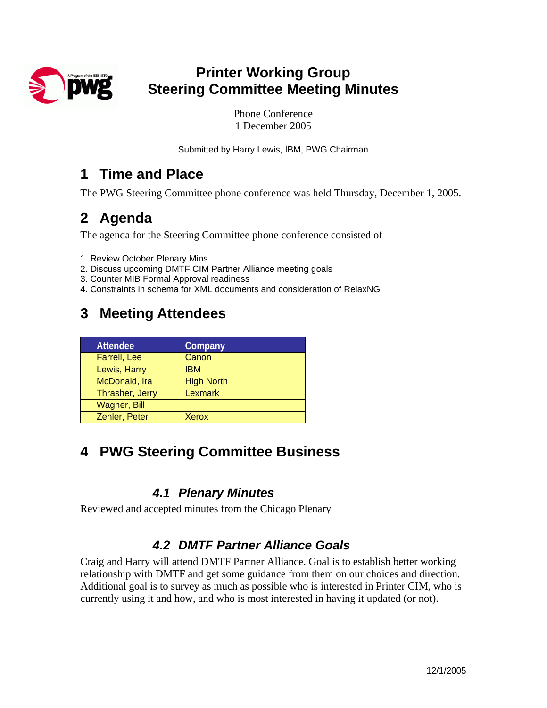

### **Printer Working Group Steering Committee Meeting Minutes**

Phone Conference 1 December 2005

Submitted by Harry Lewis, IBM, PWG Chairman

### **1 Time and Place**

The PWG Steering Committee phone conference was held Thursday, December 1, 2005.

## **2 Agenda**

The agenda for the Steering Committee phone conference consisted of

- 1. Review October Plenary Mins
- 2. Discuss upcoming DMTF CIM Partner Alliance meeting goals
- 3. Counter MIB Formal Approval readiness
- 4. Constraints in schema for XML documents and consideration of RelaxNG

# **3 Meeting Attendees**

| <b>Company</b>    |
|-------------------|
| Canon             |
| <b>IBM</b>        |
| <b>High North</b> |
| Lexmark           |
|                   |
| Xerox             |
|                   |

### **4 PWG Steering Committee Business**

#### *4.1 Plenary Minutes*

Reviewed and accepted minutes from the Chicago Plenary

### *4.2 DMTF Partner Alliance Goals*

Craig and Harry will attend DMTF Partner Alliance. Goal is to establish better working relationship with DMTF and get some guidance from them on our choices and direction. Additional goal is to survey as much as possible who is interested in Printer CIM, who is currently using it and how, and who is most interested in having it updated (or not).